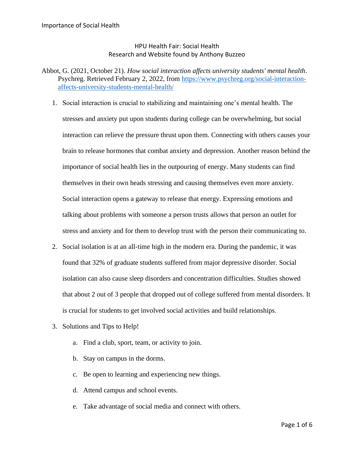## HPU Health Fair: Social Health Research and Website found by Anthony Buzzeo

- Abbot, G. (2021, October 21). *How social interaction affects university students' mental health*. Psychreg. Retrieved February 2, 2022, from [https://www.psychreg.org/social-interaction](https://www.psychreg.org/social-interaction-affects-university-students-mental-health/)[affects-university-students-mental-health/](https://www.psychreg.org/social-interaction-affects-university-students-mental-health/)
	- 1. Social interaction is crucial to stabilizing and maintaining one's mental health. The stresses and anxiety put upon students during college can be overwhelming, but social interaction can relieve the pressure thrust upon them. Connecting with others causes your brain to release hormones that combat anxiety and depression. Another reason behind the importance of social health lies in the outpouring of energy. Many students can find themselves in their own heads stressing and causing themselves even more anxiety. Social interaction opens a gateway to release that energy. Expressing emotions and talking about problems with someone a person trusts allows that person an outlet for stress and anxiety and for them to develop trust with the person their communicating to.
	- 2. Social isolation is at an all-time high in the modern era. During the pandemic, it was found that 32% of graduate students suffered from major depressive disorder. Social isolation can also cause sleep disorders and concentration difficulties. Studies showed that about 2 out of 3 people that dropped out of college suffered from mental disorders. It is crucial for students to get involved social activities and build relationships.
	- 3. Solutions and Tips to Help!
		- a. Find a club, sport, team, or activity to join.
		- b. Stay on campus in the dorms.
		- c. Be open to learning and experiencing new things.
		- d. Attend campus and school events.
		- e. Take advantage of social media and connect with others.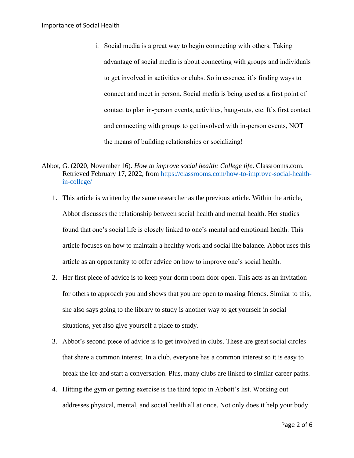- i. Social media is a great way to begin connecting with others. Taking advantage of social media is about connecting with groups and individuals to get involved in activities or clubs. So in essence, it's finding ways to connect and meet in person. Social media is being used as a first point of contact to plan in-person events, activities, hang-outs, etc. It's first contact and connecting with groups to get involved with in-person events, NOT the means of building relationships or socializing!
- Abbot, G. (2020, November 16). *How to improve social health: College life*. Classrooms.com. Retrieved February 17, 2022, from [https://classrooms.com/how-to-improve-social-health](https://classrooms.com/how-to-improve-social-health-in-college/)[in-college/](https://classrooms.com/how-to-improve-social-health-in-college/)
	- 1. This article is written by the same researcher as the previous article. Within the article, Abbot discusses the relationship between social health and mental health. Her studies found that one's social life is closely linked to one's mental and emotional health. This article focuses on how to maintain a healthy work and social life balance. Abbot uses this article as an opportunity to offer advice on how to improve one's social health.
	- 2. Her first piece of advice is to keep your dorm room door open. This acts as an invitation for others to approach you and shows that you are open to making friends. Similar to this, she also says going to the library to study is another way to get yourself in social situations, yet also give yourself a place to study.
	- 3. Abbot's second piece of advice is to get involved in clubs. These are great social circles that share a common interest. In a club, everyone has a common interest so it is easy to break the ice and start a conversation. Plus, many clubs are linked to similar career paths.
	- 4. Hitting the gym or getting exercise is the third topic in Abbott's list. Working out addresses physical, mental, and social health all at once. Not only does it help your body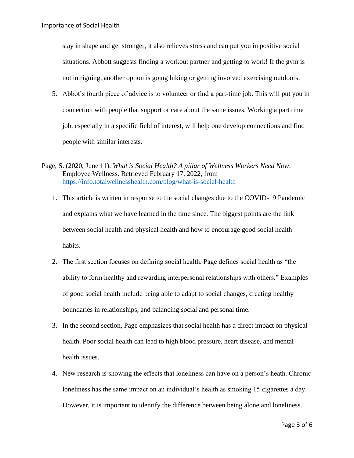stay in shape and get stronger, it also relieves stress and can put you in positive social situations. Abbott suggests finding a workout partner and getting to work! If the gym is not intriguing, another option is going hiking or getting involved exercising outdoors.

- 5. Abbot's fourth piece of advice is to volunteer or find a part-time job. This will put you in connection with people that support or care about the same issues. Working a part time job, especially in a specific field of interest, will help one develop connections and find people with similar interests.
- Page, S. (2020, June 11). *What is Social Health? A pillar of Wellness Workers Need Now*. Employee Wellness. Retrieved February 17, 2022, from <https://info.totalwellnesshealth.com/blog/what-is-social-health>
	- 1. This article is written in response to the social changes due to the COVID-19 Pandemic and explains what we have learned in the time since. The biggest points are the link between social health and physical health and how to encourage good social health habits.
	- 2. The first section focuses on defining social health. Page defines social health as "the ability to form healthy and rewarding interpersonal relationships with others." Examples of good social health include being able to adapt to social changes, creating healthy boundaries in relationships, and balancing social and personal time.
	- 3. In the second section, Page emphasizes that social health has a direct impact on physical health. Poor social health can lead to high blood pressure, heart disease, and mental health issues.
	- 4. New research is showing the effects that loneliness can have on a person's heath. Chronic loneliness has the same impact on an individual's health as smoking 15 cigarettes a day. However, it is important to identify the difference between being alone and loneliness.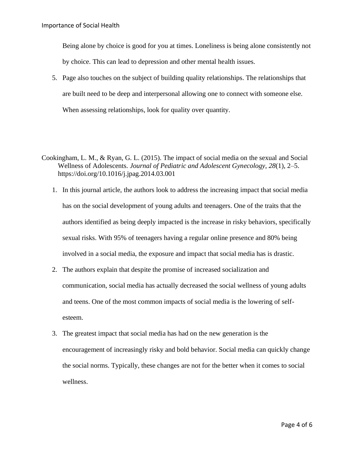Being alone by choice is good for you at times. Loneliness is being alone consistently not by choice. This can lead to depression and other mental health issues.

- 5. Page also touches on the subject of building quality relationships. The relationships that are built need to be deep and interpersonal allowing one to connect with someone else. When assessing relationships, look for quality over quantity.
- Cookingham, L. M., & Ryan, G. L. (2015). The impact of social media on the sexual and Social Wellness of Adolescents. *Journal of Pediatric and Adolescent Gynecology*, *28*(1), 2–5. https://doi.org/10.1016/j.jpag.2014.03.001
	- 1. In this journal article, the authors look to address the increasing impact that social media has on the social development of young adults and teenagers. One of the traits that the authors identified as being deeply impacted is the increase in risky behaviors, specifically sexual risks. With 95% of teenagers having a regular online presence and 80% being involved in a social media, the exposure and impact that social media has is drastic.
	- 2. The authors explain that despite the promise of increased socialization and communication, social media has actually decreased the social wellness of young adults and teens. One of the most common impacts of social media is the lowering of selfesteem.
	- 3. The greatest impact that social media has had on the new generation is the encouragement of increasingly risky and bold behavior. Social media can quickly change the social norms. Typically, these changes are not for the better when it comes to social wellness.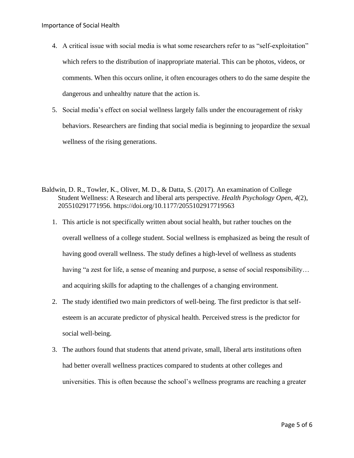- 4. A critical issue with social media is what some researchers refer to as "self-exploitation" which refers to the distribution of inappropriate material. This can be photos, videos, or comments. When this occurs online, it often encourages others to do the same despite the dangerous and unhealthy nature that the action is.
- 5. Social media's effect on social wellness largely falls under the encouragement of risky behaviors. Researchers are finding that social media is beginning to jeopardize the sexual wellness of the rising generations.
- Baldwin, D. R., Towler, K., Oliver, M. D., & Datta, S. (2017). An examination of College Student Wellness: A Research and liberal arts perspective. *Health Psychology Open*, *4*(2), 205510291771956. https://doi.org/10.1177/2055102917719563
	- 1. This article is not specifically written about social health, but rather touches on the overall wellness of a college student. Social wellness is emphasized as being the result of having good overall wellness. The study defines a high-level of wellness as students having "a zest for life, a sense of meaning and purpose, a sense of social responsibility... and acquiring skills for adapting to the challenges of a changing environment.
	- 2. The study identified two main predictors of well-being. The first predictor is that selfesteem is an accurate predictor of physical health. Perceived stress is the predictor for social well-being.
	- 3. The authors found that students that attend private, small, liberal arts institutions often had better overall wellness practices compared to students at other colleges and universities. This is often because the school's wellness programs are reaching a greater